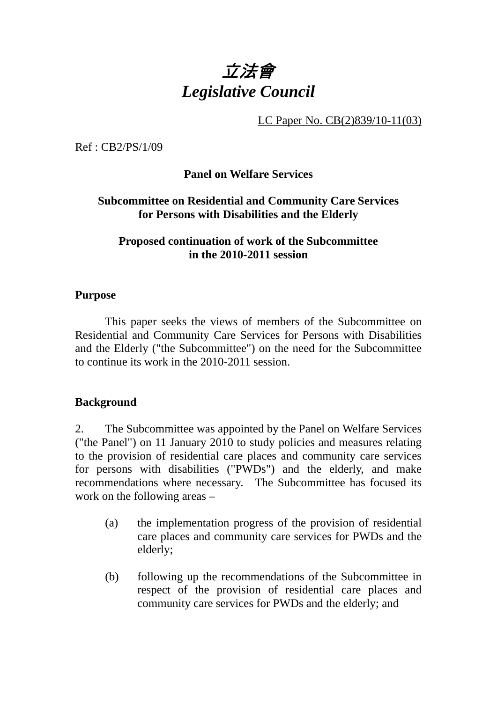# 立法會 *Legislative Council*

LC Paper No. CB(2)839/10-11(03)

Ref : CB2/PS/1/09

## **Panel on Welfare Services**

## **Subcommittee on Residential and Community Care Services for Persons with Disabilities and the Elderly**

#### **Proposed continuation of work of the Subcommittee in the 2010-2011 session**

#### **Purpose**

. This paper seeks the views of members of the Subcommittee on Residential and Community Care Services for Persons with Disabilities and the Elderly ("the Subcommittee") on the need for the Subcommittee to continue its work in the 2010-2011 session.

## **Background**

2. The Subcommittee was appointed by the Panel on Welfare Services ("the Panel") on 11 January 2010 to study policies and measures relating to the provision of residential care places and community care services for persons with disabilities ("PWDs") and the elderly, and make recommendations where necessary. The Subcommittee has focused its work on the following areas –

- (a) the implementation progress of the provision of residential care places and community care services for PWDs and the elderly;
- (b) following up the recommendations of the Subcommittee in respect of the provision of residential care places and community care services for PWDs and the elderly; and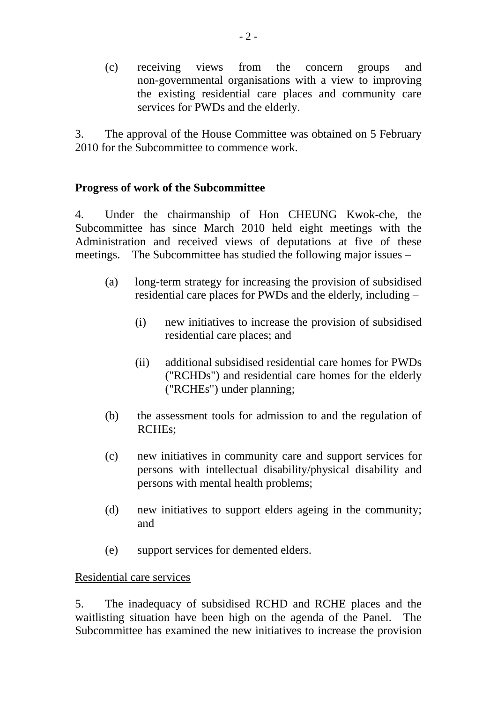(c) receiving views from the concern groups and non-governmental organisations with a view to improving the existing residential care places and community care services for PWDs and the elderly.

3. The approval of the House Committee was obtained on 5 February 2010 for the Subcommittee to commence work.

## **Progress of work of the Subcommittee**

4. Under the chairmanship of Hon CHEUNG Kwok-che, the Subcommittee has since March 2010 held eight meetings with the Administration and received views of deputations at five of these meetings. The Subcommittee has studied the following major issues –

- (a) long-term strategy for increasing the provision of subsidised residential care places for PWDs and the elderly, including –
	- (i) new initiatives to increase the provision of subsidised residential care places; and
	- (ii) additional subsidised residential care homes for PWDs ("RCHDs") and residential care homes for the elderly ("RCHEs") under planning;
- (b) the assessment tools for admission to and the regulation of RCHEs;
- (c) new initiatives in community care and support services for persons with intellectual disability/physical disability and persons with mental health problems;
- (d) new initiatives to support elders ageing in the community; and
- (e) support services for demented elders.

## Residential care services

5. The inadequacy of subsidised RCHD and RCHE places and the waitlisting situation have been high on the agenda of the Panel. The Subcommittee has examined the new initiatives to increase the provision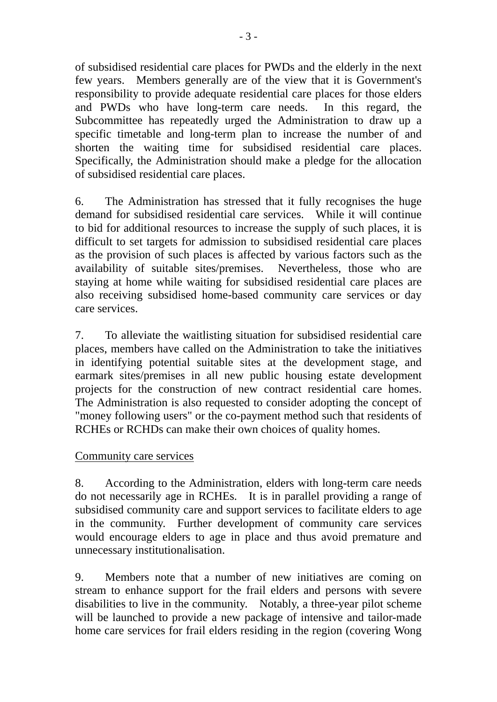of subsidised residential care places for PWDs and the elderly in the next few years. Members generally are of the view that it is Government's responsibility to provide adequate residential care places for those elders and PWDs who have long-term care needs. In this regard, the Subcommittee has repeatedly urged the Administration to draw up a specific timetable and long-term plan to increase the number of and shorten the waiting time for subsidised residential care places. Specifically, the Administration should make a pledge for the allocation of subsidised residential care places.

6. The Administration has stressed that it fully recognises the huge demand for subsidised residential care services. While it will continue to bid for additional resources to increase the supply of such places, it is difficult to set targets for admission to subsidised residential care places as the provision of such places is affected by various factors such as the availability of suitable sites/premises. Nevertheless, those who are staying at home while waiting for subsidised residential care places are also receiving subsidised home-based community care services or day care services.

7. To alleviate the waitlisting situation for subsidised residential care places, members have called on the Administration to take the initiatives in identifying potential suitable sites at the development stage, and earmark sites/premises in all new public housing estate development projects for the construction of new contract residential care homes. The Administration is also requested to consider adopting the concept of "money following users" or the co-payment method such that residents of RCHEs or RCHDs can make their own choices of quality homes.

## Community care services

8. According to the Administration, elders with long-term care needs do not necessarily age in RCHEs. It is in parallel providing a range of subsidised community care and support services to facilitate elders to age in the community. Further development of community care services would encourage elders to age in place and thus avoid premature and unnecessary institutionalisation.

9. Members note that a number of new initiatives are coming on stream to enhance support for the frail elders and persons with severe disabilities to live in the community. Notably, a three-year pilot scheme will be launched to provide a new package of intensive and tailor-made home care services for frail elders residing in the region (covering Wong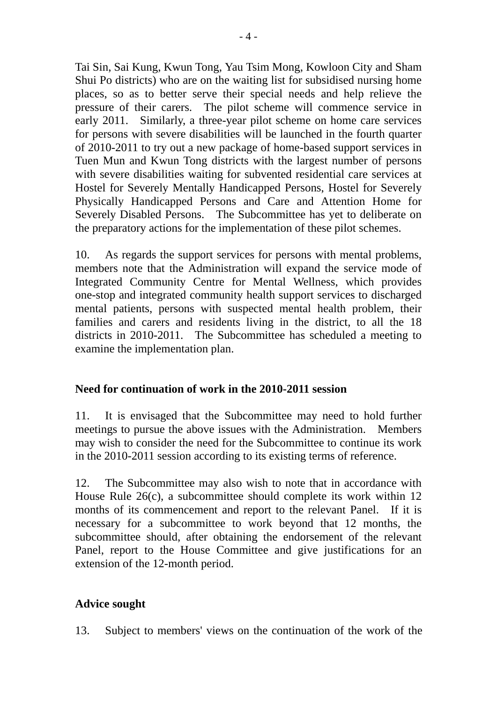Tai Sin, Sai Kung, Kwun Tong, Yau Tsim Mong, Kowloon City and Sham Shui Po districts) who are on the waiting list for subsidised nursing home places, so as to better serve their special needs and help relieve the pressure of their carers. The pilot scheme will commence service in early 2011. Similarly, a three-year pilot scheme on home care services for persons with severe disabilities will be launched in the fourth quarter of 2010-2011 to try out a new package of home-based support services in Tuen Mun and Kwun Tong districts with the largest number of persons with severe disabilities waiting for subvented residential care services at Hostel for Severely Mentally Handicapped Persons, Hostel for Severely Physically Handicapped Persons and Care and Attention Home for Severely Disabled Persons. The Subcommittee has yet to deliberate on the preparatory actions for the implementation of these pilot schemes.

10. As regards the support services for persons with mental problems, members note that the Administration will expand the service mode of Integrated Community Centre for Mental Wellness, which provides one-stop and integrated community health support services to discharged mental patients, persons with suspected mental health problem, their families and carers and residents living in the district, to all the 18 districts in 2010-2011. The Subcommittee has scheduled a meeting to examine the implementation plan.

# **Need for continuation of work in the 2010-2011 session**

11. It is envisaged that the Subcommittee may need to hold further meetings to pursue the above issues with the Administration. Members may wish to consider the need for the Subcommittee to continue its work in the 2010-2011 session according to its existing terms of reference.

12. The Subcommittee may also wish to note that in accordance with House Rule 26(c), a subcommittee should complete its work within 12 months of its commencement and report to the relevant Panel. If it is necessary for a subcommittee to work beyond that 12 months, the subcommittee should, after obtaining the endorsement of the relevant Panel, report to the House Committee and give justifications for an extension of the 12-month period.

# **Advice sought**

13. Subject to members' views on the continuation of the work of the